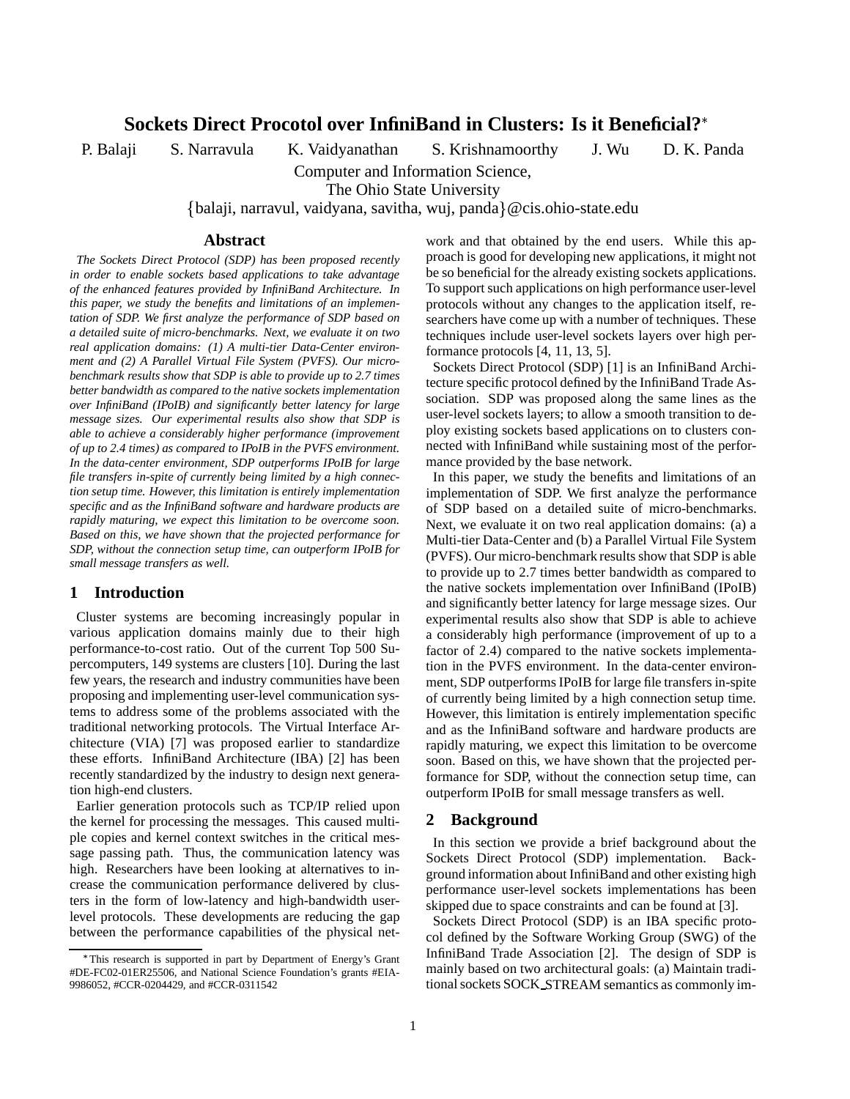# **Sockets Direct Procotol over InfiniBand in Clusters: Is it Beneficial?**

P. Balaji S. Narravula K. Vaidyanathan S. Krishnamoorthy J. Wu D. K. Panda

Computer and Information Science,

The Ohio State University

{balaji, narravul, vaidyana, savitha, wuj, panda}@cis.ohio-state.edu

#### **Abstract**

*The Sockets Direct Protocol (SDP) has been proposed recently in order to enable sockets based applications to take advantage of the enhanced features provided by InfiniBand Architecture. In this paper, we study the benefits and limitations of an implementation of SDP. We first analyze the performance of SDP based on a detailed suite of micro-benchmarks. Next, we evaluate it on two real application domains: (1) A multi-tier Data-Center environment and (2) A Parallel Virtual File System (PVFS). Our microbenchmark results show that SDP is able to provide up to 2.7 times better bandwidth as compared to the native sockets implementation over InfiniBand (IPoIB) and significantly better latency for large message sizes. Our experimental results also show that SDP is able to achieve a considerably higher performance (improvement of up to 2.4 times) as compared to IPoIB in the PVFS environment. In the data-center environment, SDP outperforms IPoIB for large file transfers in-spite of currently being limited by a high connection setup time. However, this limitation is entirely implementation specific and as the InfiniBand software and hardware products are rapidly maturing, we expect this limitation to be overcome soon. Based on this, we have shown that the projected performance for SDP, without the connection setup time, can outperform IPoIB for small message transfers as well.*

#### **1 Introduction**

Cluster systems are becoming increasingly popular in various application domains mainly due to their high performance-to-cost ratio. Out of the current Top 500 Supercomputers, 149 systems are clusters [10]. During the last few years, the research and industry communities have been proposing and implementing user-level communication systems to address some of the problems associated with the traditional networking protocols. The Virtual Interface Architecture (VIA) [7] was proposed earlier to standardize these efforts. InfiniBand Architecture (IBA) [2] has been recently standardized by the industry to design next generation high-end clusters.

Earlier generation protocols such as TCP/IP relied upon the kernel for processing the messages. This caused multiple copies and kernel context switches in the critical message passing path. Thus, the communication latency was high. Researchers have been looking at alternatives to increase the communication performance delivered by clusters in the form of low-latency and high-bandwidth userlevel protocols. These developments are reducing the gap between the performance capabilities of the physical network and that obtained by the end users. While this approach is good for developing new applications, it might not be so beneficial for the already existing sockets applications. To support such applications on high performance user-level protocols without any changes to the application itself, researchers have come up with a number of techniques. These techniques include user-level sockets layers over high performance protocols [4, 11, 13, 5].

Sockets Direct Protocol (SDP) [1] is an InfiniBand Architecture specific protocol defined by the InfiniBand Trade Association. SDP was proposed along the same lines as the user-level sockets layers; to allow a smooth transition to deploy existing sockets based applications on to clusters connected with InfiniBand while sustaining most of the performance provided by the base network.

In this paper, we study the benefits and limitations of an implementation of SDP. We first analyze the performance of SDP based on a detailed suite of micro-benchmarks. Next, we evaluate it on two real application domains: (a) a Multi-tier Data-Center and (b) a Parallel Virtual File System (PVFS). Our micro-benchmark results show that SDP is able to provide up to 2.7 times better bandwidth as compared to the native sockets implementation over InfiniBand (IPoIB) and significantly better latency for large message sizes. Our experimental results also show that SDP is able to achieve a considerably high performance (improvement of up to a factor of 2.4) compared to the native sockets implementation in the PVFS environment. In the data-center environment, SDP outperforms IPoIB for large file transfers in-spite of currently being limited by a high connection setup time. However, this limitation is entirely implementation specific and as the InfiniBand software and hardware products are rapidly maturing, we expect this limitation to be overcome soon. Based on this, we have shown that the projected performance for SDP, without the connection setup time, can outperform IPoIB for small message transfers as well.

#### **2 Background**

In this section we provide a brief background about the Sockets Direct Protocol (SDP) implementation. Background information about InfiniBand and other existing high performance user-level sockets implementations has been skipped due to space constraints and can be found at [3].

Sockets Direct Protocol (SDP) is an IBA specific protocol defined by the Software Working Group (SWG) of the InfiniBand Trade Association [2]. The design of SDP is mainly based on two architectural goals: (a) Maintain traditional sockets SOCK\_STREAM semantics as commonly im-

This research is supported in part by Department of Energy's Grant #DE-FC02-01ER25506, and National Science Foundation's grants #EIA-9986052, #CCR-0204429, and #CCR-0311542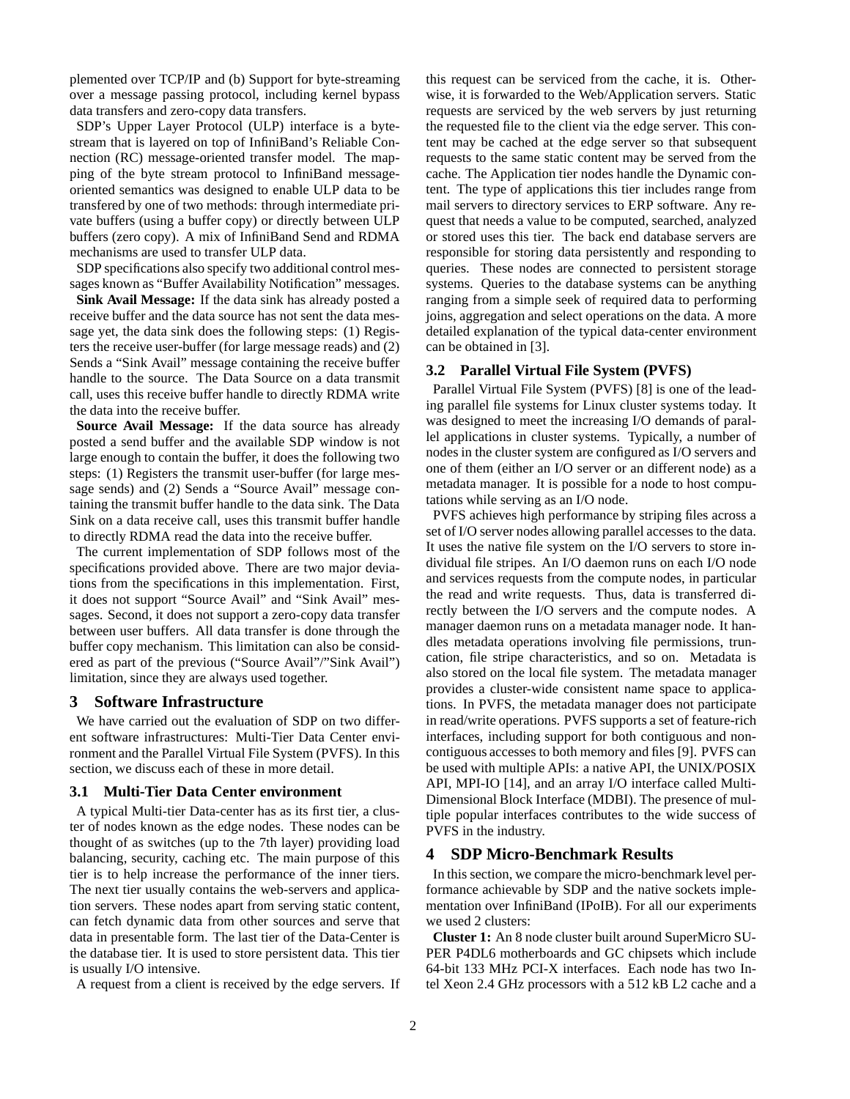plemented over TCP/IP and (b) Support for byte-streaming over a message passing protocol, including kernel bypass data transfers and zero-copy data transfers.

SDP's Upper Layer Protocol (ULP) interface is a bytestream that is layered on top of InfiniBand's Reliable Connection (RC) message-oriented transfer model. The mapping of the byte stream protocol to InfiniBand messageoriented semantics was designed to enable ULP data to be transfered by one of two methods: through intermediate private buffers (using a buffer copy) or directly between ULP buffers (zero copy). A mix of InfiniBand Send and RDMA mechanisms are used to transfer ULP data.

SDP specifications also specify two additional control messages known as "Buffer Availability Notification" messages.

**Sink Avail Message:** If the data sink has already posted a receive buffer and the data source has not sent the data message yet, the data sink does the following steps: (1) Registers the receive user-buffer (for large message reads) and (2) Sends a "Sink Avail" message containing the receive buffer handle to the source. The Data Source on a data transmit call, uses this receive buffer handle to directly RDMA write the data into the receive buffer.

**Source Avail Message:** If the data source has already posted a send buffer and the available SDP window is not large enough to contain the buffer, it does the following two steps: (1) Registers the transmit user-buffer (for large message sends) and (2) Sends a "Source Avail" message containing the transmit buffer handle to the data sink. The Data Sink on a data receive call, uses this transmit buffer handle to directly RDMA read the data into the receive buffer.

The current implementation of SDP follows most of the specifications provided above. There are two major deviations from the specifications in this implementation. First, it does not support "Source Avail" and "Sink Avail" messages. Second, it does not support a zero-copy data transfer between user buffers. All data transfer is done through the buffer copy mechanism. This limitation can also be considered as part of the previous ("Source Avail"/"Sink Avail") limitation, since they are always used together.

## **3 Software Infrastructure**

We have carried out the evaluation of SDP on two different software infrastructures: Multi-Tier Data Center environment and the Parallel Virtual File System (PVFS). In this section, we discuss each of these in more detail.

#### **3.1 Multi-Tier Data Center environment**

A typical Multi-tier Data-center has as its first tier, a cluster of nodes known as the edge nodes. These nodes can be thought of as switches (up to the 7th layer) providing load balancing, security, caching etc. The main purpose of this tier is to help increase the performance of the inner tiers. The next tier usually contains the web-servers and application servers. These nodes apart from serving static content, can fetch dynamic data from other sources and serve that data in presentable form. The last tier of the Data-Center is the database tier. It is used to store persistent data. This tier is usually I/O intensive.

A request from a client is received by the edge servers. If

this request can be serviced from the cache, it is. Otherwise, it is forwarded to the Web/Application servers. Static requests are serviced by the web servers by just returning the requested file to the client via the edge server. This content may be cached at the edge server so that subsequent requests to the same static content may be served from the cache. The Application tier nodes handle the Dynamic content. The type of applications this tier includes range from mail servers to directory services to ERP software. Any request that needs a value to be computed, searched, analyzed or stored uses this tier. The back end database servers are responsible for storing data persistently and responding to queries. These nodes are connected to persistent storage systems. Queries to the database systems can be anything ranging from a simple seek of required data to performing joins, aggregation and select operations on the data. A more detailed explanation of the typical data-center environment can be obtained in [3].

#### **3.2 Parallel Virtual File System (PVFS)**

Parallel Virtual File System (PVFS) [8] is one of the leading parallel file systems for Linux cluster systems today. It was designed to meet the increasing I/O demands of parallel applications in cluster systems. Typically, a number of nodes in the cluster system are configured as I/O servers and one of them (either an I/O server or an different node) as a metadata manager. It is possible for a node to host computations while serving as an I/O node.

PVFS achieves high performance by striping files across a set of I/O server nodes allowing parallel accesses to the data. It uses the native file system on the I/O servers to store individual file stripes. An I/O daemon runs on each I/O node and services requests from the compute nodes, in particular the read and write requests. Thus, data is transferred directly between the I/O servers and the compute nodes. A manager daemon runs on a metadata manager node. It handles metadata operations involving file permissions, truncation, file stripe characteristics, and so on. Metadata is also stored on the local file system. The metadata manager provides a cluster-wide consistent name space to applications. In PVFS, the metadata manager does not participate in read/write operations. PVFS supports a set of feature-rich interfaces, including support for both contiguous and noncontiguous accesses to both memory and files [9]. PVFS can be used with multiple APIs: a native API, the UNIX/POSIX API, MPI-IO [14], and an array I/O interface called Multi-Dimensional Block Interface (MDBI). The presence of multiple popular interfaces contributes to the wide success of PVFS in the industry.

### **4 SDP Micro-Benchmark Results**

In this section, we compare the micro-benchmark level performance achievable by SDP and the native sockets implementation over InfiniBand (IPoIB). For all our experiments we used 2 clusters:

**Cluster 1:** An 8 node cluster built around SuperMicro SU-PER P4DL6 motherboards and GC chipsets which include 64-bit 133 MHz PCI-X interfaces. Each node has two Intel Xeon 2.4 GHz processors with a 512 kB L2 cache and a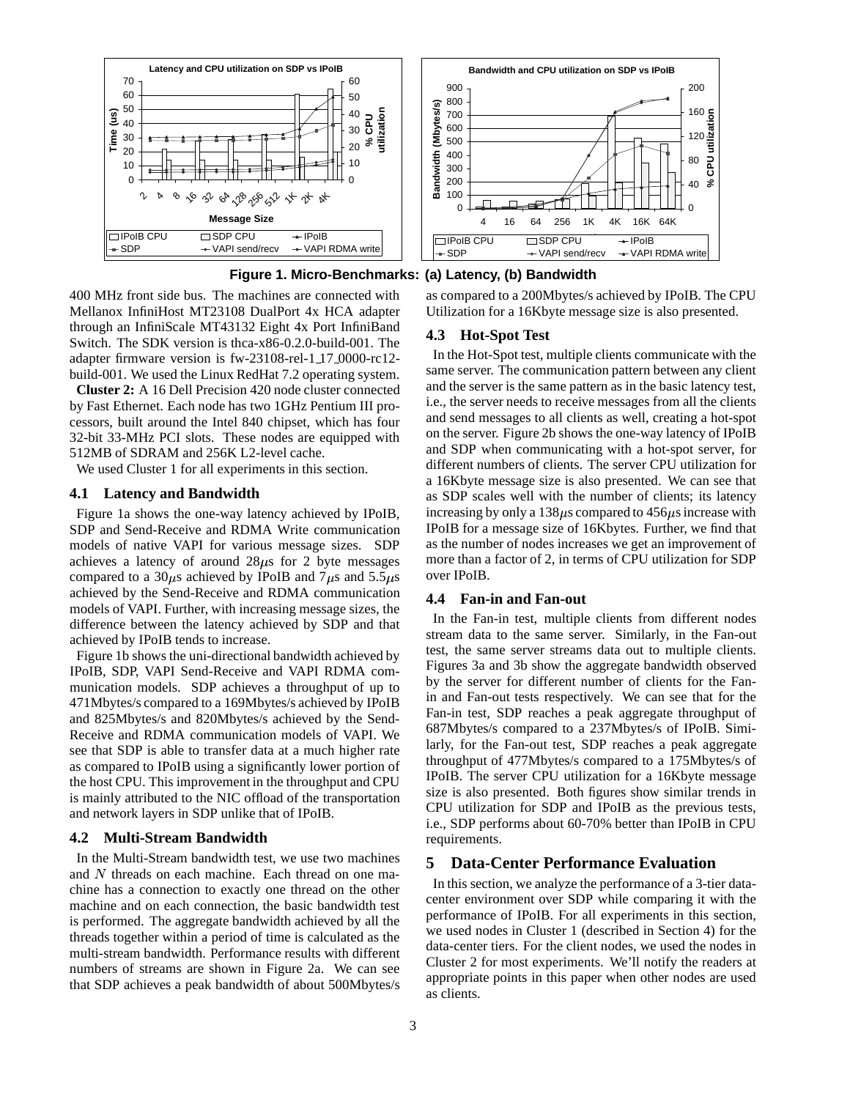

**Figure 1. Micro-Benchmarks: (a) Latency, (b) Bandwidth**

400 MHz front side bus. The machines are connected with Mellanox InfiniHost MT23108 DualPort 4x HCA adapter through an InfiniScale MT43132 Eight 4x Port InfiniBand Switch. The SDK version is thca-x86-0.2.0-build-001. The adapter firmware version is fw-23108-rel-1 17 0000-rc12 build-001. We used the Linux RedHat 7.2 operating system.

**Cluster 2:** A 16 Dell Precision 420 node cluster connected by Fast Ethernet. Each node has two 1GHz Pentium III processors, built around the Intel 840 chipset, which has four 32-bit 33-MHz PCI slots. These nodes are equipped with 512MB of SDRAM and 256K L2-level cache.

We used Cluster 1 for all experiments in this section.

#### **4.1 Latency and Bandwidth**

Figure 1a shows the one-way latency achieved by IPoIB, SDP and Send-Receive and RDMA Write communication models of native VAPI for various message sizes. SDP achieves a latency of around  $28\mu s$  for 2 byte messages compared to a 30 $\mu$ s achieved by IPoIB and 7 $\mu$ s and 5.5 $\mu$ s achieved by the Send-Receive and RDMA communication models of VAPI. Further, with increasing message sizes, the difference between the latency achieved by SDP and that achieved by IPoIB tends to increase.

Figure 1b shows the uni-directional bandwidth achieved by IPoIB, SDP, VAPI Send-Receive and VAPI RDMA communication models. SDP achieves a throughput of up to 471Mbytes/s compared to a 169Mbytes/s achieved by IPoIB and 825Mbytes/s and 820Mbytes/s achieved by the Send-Receive and RDMA communication models of VAPI. We see that SDP is able to transfer data at a much higher rate as compared to IPoIB using a significantly lower portion of the host CPU. This improvement in the throughput and CPU is mainly attributed to the NIC offload of the transportation and network layers in SDP unlike that of IPoIB.

### **4.2 Multi-Stream Bandwidth**

In the Multi-Stream bandwidth test, we use two machines and  $N$  threads on each machine. Each thread on one machine has a connection to exactly one thread on the other machine and on each connection, the basic bandwidth test is performed. The aggregate bandwidth achieved by all the threads together within a period of time is calculated as the multi-stream bandwidth. Performance results with different numbers of streams are shown in Figure 2a. We can see that SDP achieves a peak bandwidth of about 500Mbytes/s

as compared to a 200Mbytes/s achieved by IPoIB. The CPU Utilization for a 16Kbyte message size is also presented.

#### **4.3 Hot-Spot Test**

In the Hot-Spot test, multiple clients communicate with the same server. The communication pattern between any client and the server is the same pattern as in the basic latency test, i.e., the server needs to receive messages from all the clients and send messages to all clients as well, creating a hot-spot on the server. Figure 2b shows the one-way latency of IPoIB and SDP when communicating with a hot-spot server, for different numbers of clients. The server CPU utilization for a 16Kbyte message size is also presented. We can see that as SDP scales well with the number of clients; its latency increasing by only a  $138\mu s$  compared to  $456\mu s$  increase with IPoIB for a message size of 16Kbytes. Further, we find that as the number of nodes increases we get an improvement of more than a factor of 2, in terms of CPU utilization for SDP over IPoIB.

## **4.4 Fan-in and Fan-out**

In the Fan-in test, multiple clients from different nodes stream data to the same server. Similarly, in the Fan-out test, the same server streams data out to multiple clients. Figures 3a and 3b show the aggregate bandwidth observed by the server for different number of clients for the Fanin and Fan-out tests respectively. We can see that for the Fan-in test, SDP reaches a peak aggregate throughput of 687Mbytes/s compared to a 237Mbytes/s of IPoIB. Similarly, for the Fan-out test, SDP reaches a peak aggregate throughput of 477Mbytes/s compared to a 175Mbytes/s of IPoIB. The server CPU utilization for a 16Kbyte message size is also presented. Both figures show similar trends in CPU utilization for SDP and IPoIB as the previous tests, i.e., SDP performs about 60-70% better than IPoIB in CPU requirements.

## **5 Data-Center Performance Evaluation**

In this section, we analyze the performance of a 3-tier datacenter environment over SDP while comparing it with the performance of IPoIB. For all experiments in this section, we used nodes in Cluster 1 (described in Section 4) for the data-center tiers. For the client nodes, we used the nodes in Cluster 2 for most experiments. We'll notify the readers at appropriate points in this paper when other nodes are used as clients.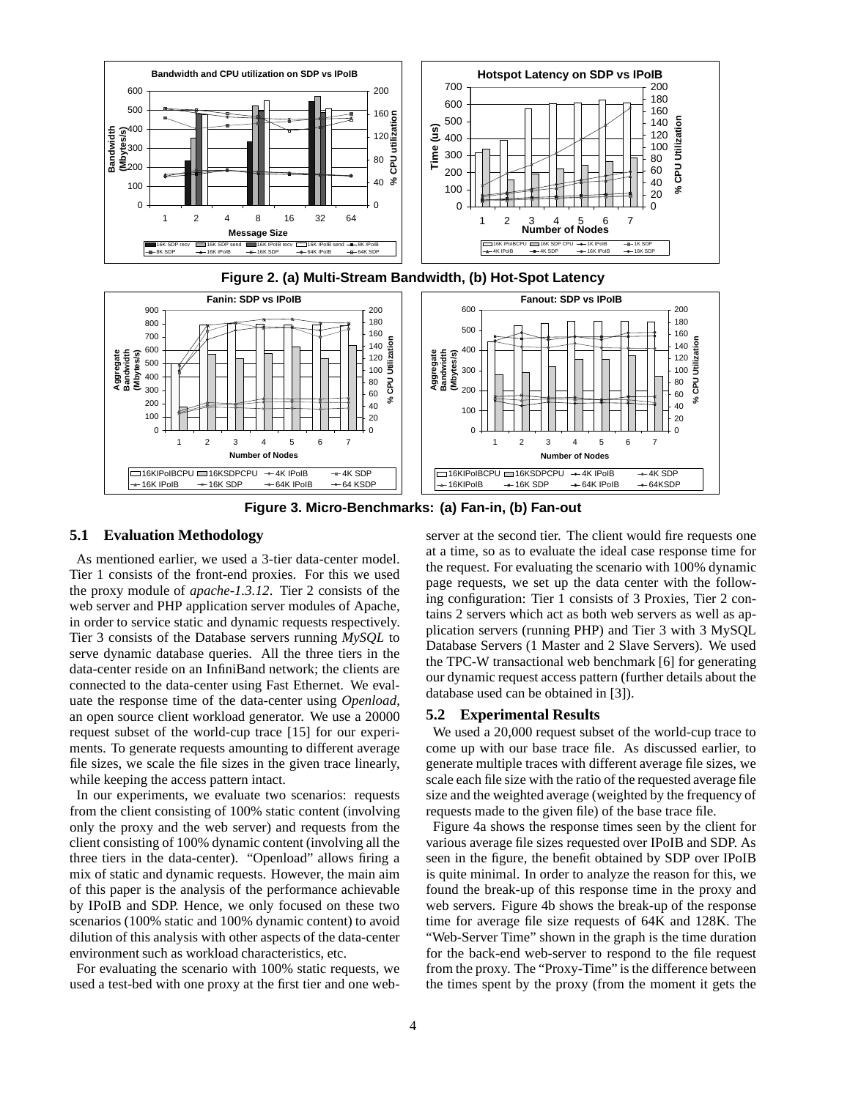



**Figure 3. Micro-Benchmarks: (a) Fan-in, (b) Fan-out**

## **5.1 Evaluation Methodology**

As mentioned earlier, we used a 3-tier data-center model. Tier 1 consists of the front-end proxies. For this we used the proxy module of *apache-1.3.12*. Tier 2 consists of the web server and PHP application server modules of Apache, in order to service static and dynamic requests respectively. Tier 3 consists of the Database servers running *MySQL* to serve dynamic database queries. All the three tiers in the data-center reside on an InfiniBand network; the clients are connected to the data-center using Fast Ethernet. We evaluate the response time of the data-center using *Openload*, an open source client workload generator. We use a 20000 request subset of the world-cup trace [15] for our experiments. To generate requests amounting to different average file sizes, we scale the file sizes in the given trace linearly, while keeping the access pattern intact.

In our experiments, we evaluate two scenarios: requests from the client consisting of 100% static content (involving only the proxy and the web server) and requests from the client consisting of 100% dynamic content (involving all the three tiers in the data-center). "Openload" allows firing a mix of static and dynamic requests. However, the main aim of this paper is the analysis of the performance achievable by IPoIB and SDP. Hence, we only focused on these two scenarios (100% static and 100% dynamic content) to avoid dilution of this analysis with other aspects of the data-center environment such as workload characteristics, etc.

For evaluating the scenario with 100% static requests, we used a test-bed with one proxy at the first tier and one webserver at the second tier. The client would fire requests one at a time, so as to evaluate the ideal case response time for the request. For evaluating the scenario with 100% dynamic page requests, we set up the data center with the following configuration: Tier 1 consists of 3 Proxies, Tier 2 contains 2 servers which act as both web servers as well as application servers (running PHP) and Tier 3 with 3 MySQL Database Servers (1 Master and 2 Slave Servers). We used the TPC-W transactional web benchmark [6] for generating our dynamic request access pattern (further details about the database used can be obtained in [3]).

## **5.2 Experimental Results**

We used a 20,000 request subset of the world-cup trace to come up with our base trace file. As discussed earlier, to generate multiple traces with different average file sizes, we scale each file size with the ratio of the requested average file size and the weighted average (weighted by the frequency of requests made to the given file) of the base trace file.

Figure 4a shows the response times seen by the client for various average file sizes requested over IPoIB and SDP. As seen in the figure, the benefit obtained by SDP over IPoIB is quite minimal. In order to analyze the reason for this, we found the break-up of this response time in the proxy and web servers. Figure 4b shows the break-up of the response time for average file size requests of 64K and 128K. The "Web-Server Time" shown in the graph is the time duration for the back-end web-server to respond to the file request from the proxy. The "Proxy-Time" is the difference between the times spent by the proxy (from the moment it gets the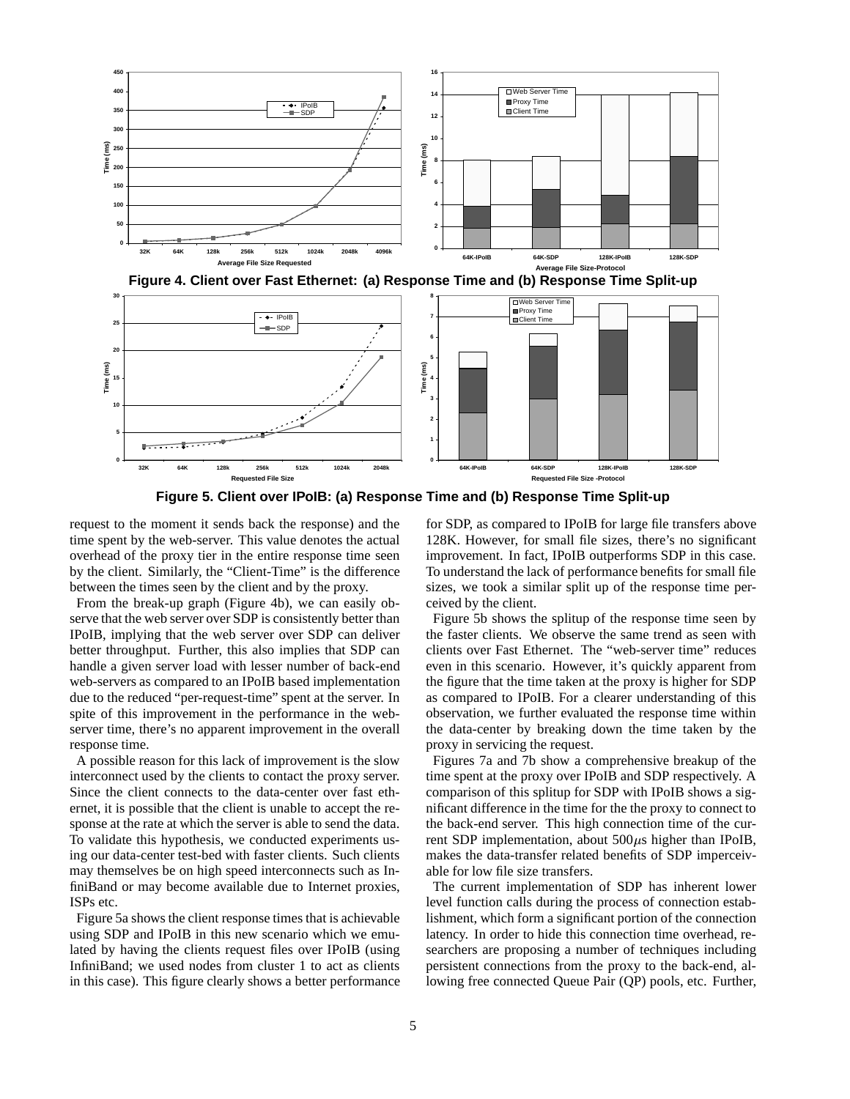





**Figure 5. Client over IPoIB: (a) Response Time and (b) Response Time Split-up**

request to the moment it sends back the response) and the time spent by the web-server. This value denotes the actual overhead of the proxy tier in the entire response time seen by the client. Similarly, the "Client-Time" is the difference between the times seen by the client and by the proxy.

From the break-up graph (Figure 4b), we can easily observe that the web server over SDP is consistently better than IPoIB, implying that the web server over SDP can deliver better throughput. Further, this also implies that SDP can handle a given server load with lesser number of back-end web-servers as compared to an IPoIB based implementation due to the reduced "per-request-time" spent at the server. In spite of this improvement in the performance in the webserver time, there's no apparent improvement in the overall response time.

A possible reason for this lack of improvement is the slow interconnect used by the clients to contact the proxy server. Since the client connects to the data-center over fast ethernet, it is possible that the client is unable to accept the response at the rate at which the server is able to send the data. To validate this hypothesis, we conducted experiments using our data-center test-bed with faster clients. Such clients may themselves be on high speed interconnects such as InfiniBand or may become available due to Internet proxies, ISPs etc.

Figure 5a shows the client response times that is achievable using SDP and IPoIB in this new scenario which we emulated by having the clients request files over IPoIB (using InfiniBand; we used nodes from cluster 1 to act as clients in this case). This figure clearly shows a better performance for SDP, as compared to IPoIB for large file transfers above 128K. However, for small file sizes, there's no significant improvement. In fact, IPoIB outperforms SDP in this case. To understand the lack of performance benefits for small file sizes, we took a similar split up of the response time perceived by the client.

Figure 5b shows the splitup of the response time seen by the faster clients. We observe the same trend as seen with clients over Fast Ethernet. The "web-server time" reduces even in this scenario. However, it's quickly apparent from the figure that the time taken at the proxy is higher for SDP as compared to IPoIB. For a clearer understanding of this observation, we further evaluated the response time within the data-center by breaking down the time taken by the proxy in servicing the request.

Figures 7a and 7b show a comprehensive breakup of the time spent at the proxy over IPoIB and SDP respectively. A comparison of this splitup for SDP with IPoIB shows a significant difference in the time for the the proxy to connect to the back-end server. This high connection time of the current SDP implementation, about  $500\mu s$  higher than IPoIB, makes the data-transfer related benefits of SDP imperceivable for low file size transfers.

The current implementation of SDP has inherent lower level function calls during the process of connection establishment, which form a significant portion of the connection latency. In order to hide this connection time overhead, researchers are proposing a number of techniques including persistent connections from the proxy to the back-end, allowing free connected Queue Pair (QP) pools, etc. Further,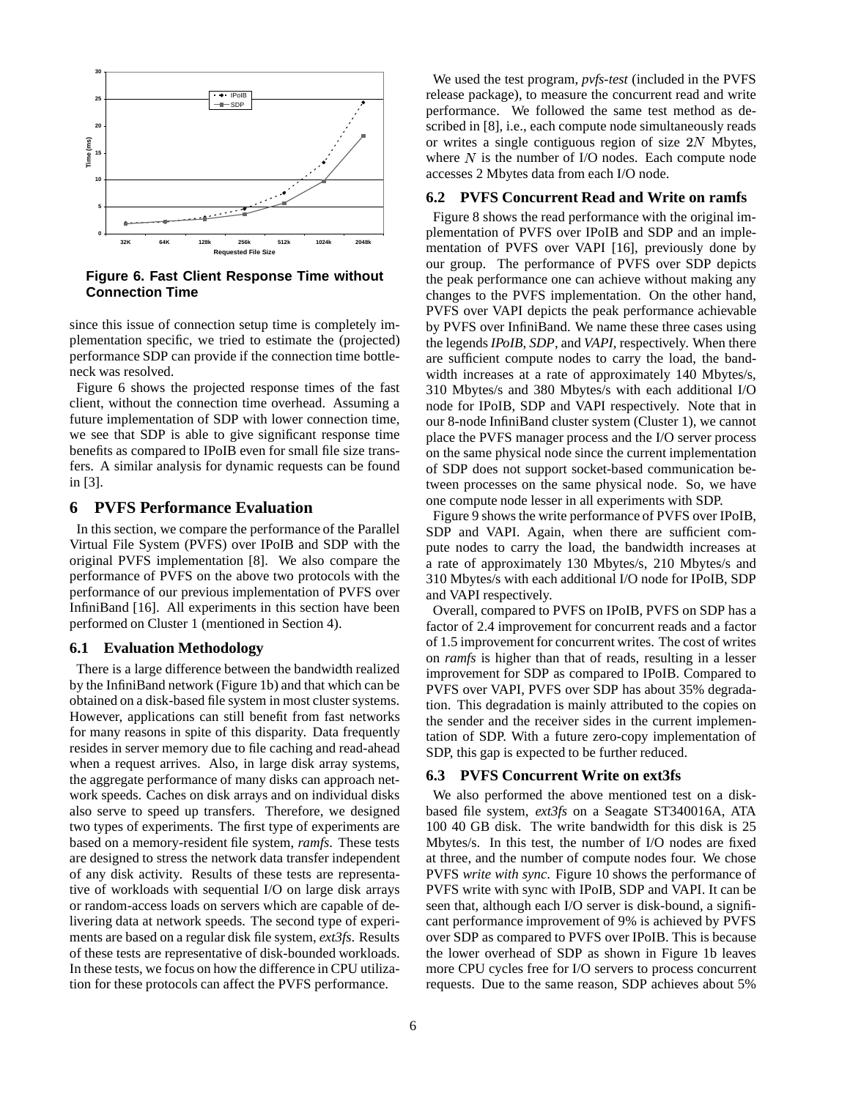

**Figure 6. Fast Client Response Time without Connection Time**

since this issue of connection setup time is completely implementation specific, we tried to estimate the (projected) performance SDP can provide if the connection time bottleneck was resolved.

Figure 6 shows the projected response times of the fast client, without the connection time overhead. Assuming a future implementation of SDP with lower connection time, we see that SDP is able to give significant response time benefits as compared to IPoIB even for small file size transfers. A similar analysis for dynamic requests can be found in [3].

## **6 PVFS Performance Evaluation**

In this section, we compare the performance of the Parallel Virtual File System (PVFS) over IPoIB and SDP with the original PVFS implementation [8]. We also compare the performance of PVFS on the above two protocols with the performance of our previous implementation of PVFS over InfiniBand [16]. All experiments in this section have been performed on Cluster 1 (mentioned in Section 4).

### **6.1 Evaluation Methodology**

There is a large difference between the bandwidth realized by the InfiniBand network (Figure 1b) and that which can be obtained on a disk-based file system in most cluster systems. However, applications can still benefit from fast networks for many reasons in spite of this disparity. Data frequently resides in server memory due to file caching and read-ahead when a request arrives. Also, in large disk array systems, the aggregate performance of many disks can approach network speeds. Caches on disk arrays and on individual disks also serve to speed up transfers. Therefore, we designed two types of experiments. The first type of experiments are based on a memory-resident file system, *ramfs*. These tests are designed to stress the network data transfer independent of any disk activity. Results of these tests are representative of workloads with sequential I/O on large disk arrays or random-access loads on servers which are capable of delivering data at network speeds. The second type of experiments are based on a regular disk file system, *ext3fs*. Results of these tests are representative of disk-bounded workloads. In these tests, we focus on how the difference in CPU utilization for these protocols can affect the PVFS performance.

We used the test program, *pvfs-test* (included in the PVFS release package), to measure the concurrent read and write performance. We followed the same test method as described in [8], i.e., each compute node simultaneously reads or writes a single contiguous region of size  $2N$  Mbytes, where  $N$  is the number of I/O nodes. Each compute node accesses 2 Mbytes data from each I/O node.

#### **6.2 PVFS Concurrent Read and Write on ramfs**

Figure 8 shows the read performance with the original implementation of PVFS over IPoIB and SDP and an implementation of PVFS over VAPI [16], previously done by our group. The performance of PVFS over SDP depicts the peak performance one can achieve without making any changes to the PVFS implementation. On the other hand, PVFS over VAPI depicts the peak performance achievable by PVFS over InfiniBand. We name these three cases using the legends *IPoIB*, *SDP*, and *VAPI*, respectively. When there are sufficient compute nodes to carry the load, the bandwidth increases at a rate of approximately 140 Mbytes/s, 310 Mbytes/s and 380 Mbytes/s with each additional I/O node for IPoIB, SDP and VAPI respectively. Note that in our 8-node InfiniBand cluster system (Cluster 1), we cannot place the PVFS manager process and the I/O server process on the same physical node since the current implementation of SDP does not support socket-based communication between processes on the same physical node. So, we have one compute node lesser in all experiments with SDP.

Figure 9 shows the write performance of PVFS over IPoIB, SDP and VAPI. Again, when there are sufficient compute nodes to carry the load, the bandwidth increases at a rate of approximately 130 Mbytes/s, 210 Mbytes/s and 310 Mbytes/s with each additional I/O node for IPoIB, SDP and VAPI respectively.

Overall, compared to PVFS on IPoIB, PVFS on SDP has a factor of 2.4 improvement for concurrent reads and a factor of 1.5 improvement for concurrent writes. The cost of writes on *ramfs* is higher than that of reads, resulting in a lesser improvement for SDP as compared to IPoIB. Compared to PVFS over VAPI, PVFS over SDP has about 35% degradation. This degradation is mainly attributed to the copies on the sender and the receiver sides in the current implementation of SDP. With a future zero-copy implementation of SDP, this gap is expected to be further reduced.

#### **6.3 PVFS Concurrent Write on ext3fs**

We also performed the above mentioned test on a diskbased file system, *ext3fs* on a Seagate ST340016A, ATA 100 40 GB disk. The write bandwidth for this disk is 25 Mbytes/s. In this test, the number of I/O nodes are fixed at three, and the number of compute nodes four. We chose PVFS *write with sync*. Figure 10 shows the performance of PVFS write with sync with IPoIB, SDP and VAPI. It can be seen that, although each I/O server is disk-bound, a significant performance improvement of 9% is achieved by PVFS over SDP as compared to PVFS over IPoIB. This is because the lower overhead of SDP as shown in Figure 1b leaves more CPU cycles free for I/O servers to process concurrent requests. Due to the same reason, SDP achieves about 5%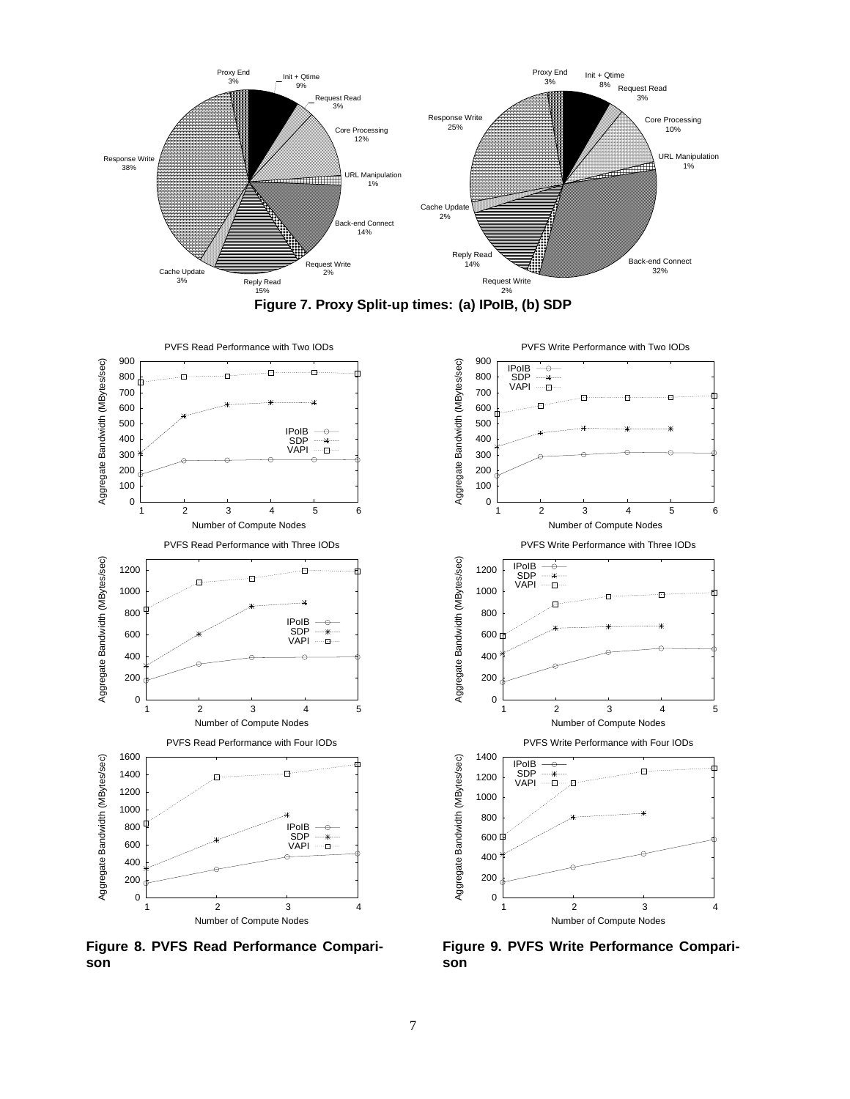





**Figure 8. PVFS Read Performance Comparison**



**Figure 9. PVFS Write Performance Comparison**